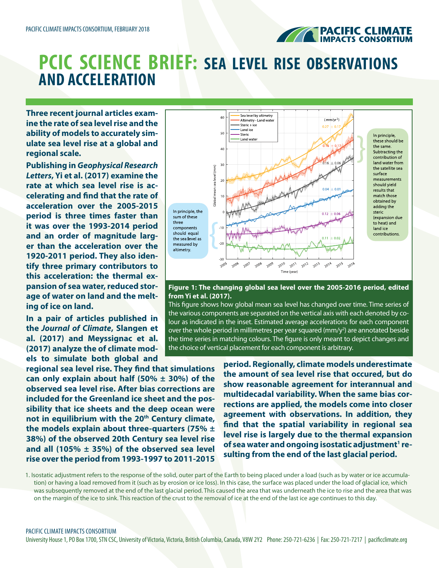

## **PCIC SCIENCE BRIEF: SEA LEVEL RISE OBSERVATIONS AND ACCELERATION**

**Three recent journal articles examine the rate of sea level rise and the ability of models to accurately simulate sea level rise at a global and regional scale.**

**Publishing in** *Geophysical Research Letters***, Yi et al. (2017) examine the rate at which sea level rise is accelerating and find that the rate of acceleration over the 2005-2015 period is three times faster than it was over the 1993-2014 period and an order of magnitude larger than the acceleration over the 1920-2011 period. They also identify three primary contributors to this acceleration: the thermal expansion of sea water, reduced storage of water on land and the melting of ice on land.**

**In a pair of articles published in the** *Journal of Climate***, Slangen et al. (2017) and Meyssignac et al. (2017) analyze the of climate models to simulate both global and** 

**regional sea level rise. They find that simulations can only explain about half (50% ± 30%) of the observed sea level rise. After bias corrections are included for the Greenland ice sheet and the possibility that ice sheets and the deep ocean were**  not in equilibrium with the 20<sup>th</sup> Century climate, **the models explain about three-quarters (75% ± 38%) of the observed 20th Century sea level rise and all (105% ± 35%) of the observed sea level rise over the period from 1993-1997 to 2011-2015** 



## **Figure 1: The changing global sea level over the 2005-2016 period, edited from Yi et al. (2017).**

This figure shows how global mean sea level has changed over time. Time series of the various components are separated on the vertical axis with each denoted by colour as indicated in the inset. Estimated average accelerations for each component over the whole period in millimetres per year squared ( $mm/y<sup>2</sup>$ ) are annotated beside the time series in matching colours. The figure is only meant to depict changes and the choice of vertical placement for each component is arbitrary.

> **period. Regionally, climate models underestimate the amount of sea level rise that occured, but do show reasonable agreement for interannual and multidecadal variability. When the same bias corrections are applied, the models come into closer agreement with observations. In addition, they find that the spatial variability in regional sea level rise is largely due to the thermal expansion**  of sea water and ongoing isostatic adjustment<sup>1</sup> re**sulting from the end of the last glacial period.**

1. Isostatic adjustment refers to the response of the solid, outer part of the Earth to being placed under a load (such as by water or ice accumulation) or having a load removed from it (such as by erosion or ice loss). In this case, the surface was placed under the load of glacial ice, which was subsequently removed at the end of the last glacial period. This caused the area that was underneath the ice to rise and the area that was on the margin of the ice to sink. This reaction of the crust to the removal of ice at the end of the last ice age continues to this day.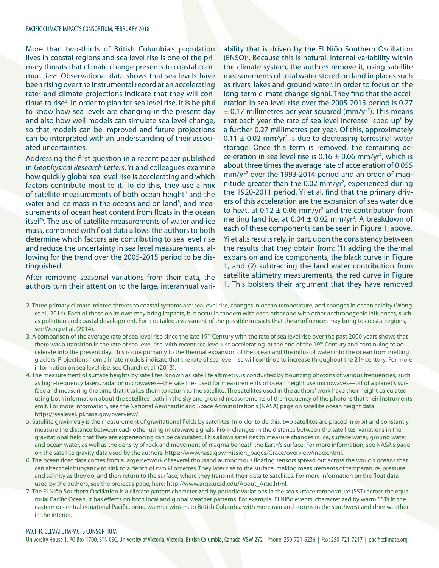More than two-thirds of British Columbia's population lives in coastal regions and sea level rise is one of the primary threats that climate change presents to coastal communities<sup>2</sup>. Observational data shows that sea levels have been rising over the instrumental record at an accelerating rate<sup>3</sup> and climate projections indicate that they will continue to rise<sup>3</sup>. In order to plan for sea level rise, it is helpful to know how sea levels are changing in the present day and also how well models can simulate sea level change, so that models can be improved and future projections can be interpreted with an understanding of their associated uncertainties.

Addressing the first question in a recent paper published in *Geophysical Research Letters*, Yi and colleagues examine how quickly global sea level rise is accelerating and which factors contribute most to it. To do this, they use a mix of satellite measurements of both ocean height<sup>4</sup> and the water and ice mass in the oceans and on land<sup>5</sup>, and measurements of ocean heat content from floats in the ocean itself<sup>6</sup>. The use of satellite measurements of water and ice mass, combined with float data allows the authors to both determine which factors are contributing to sea level rise and reduce the uncertainty in sea level measurements, allowing for the trend over the 2005-2015 period to be distinguished.

After removing seasonal variations from their data, the authors turn their attention to the large, interannual vari-

ability that is driven by the El Niño Southern Oscillation (ENSO)<sup>7</sup>. Because this is natural, internal variability within the climate system, the authors remove it, using satellite measurements of total water stored on land in places such as rivers, lakes and ground water, in order to focus on the long-term climate change signal. They find that the acceleration in sea level rise over the 2005-2015 period is 0.27  $\pm$  0.17 millimetres per year squared (mm/yr<sup>2</sup>). This means that each year the rate of sea level increase "sped up" by a further 0.27 millimetres per year. Of this, approximately  $0.11 \pm 0.02$  mm/yr<sup>2</sup> is due to decreasing terrestrial water storage. Once this term is removed, the remaining acceleration in sea level rise is  $0.16 \pm 0.06$  mm/yr<sup>2</sup>, which is about three times the average rate of acceleration of 0.055 mm/yr<sup>2</sup> over the 1993-2014 period and an order of magnitude greater than the 0.02 mm/yr<sup>2</sup>, experienced during the 1920-2011 period. Yi et al. find that the primary drivers of this acceleration are the expansion of sea water due to heat, at  $0.12 \pm 0.06$  mm/yr<sup>2</sup> and the contribution from melting land ice, at  $0.04 \pm 0.02$  mm/yr<sup>2</sup>. A breakdown of each of these components can be seen in Figure 1, above.

Yi et al.'s results rely, in part, upon the consistency between the results that they obtain from: (1) adding the thermal expansion and ice components, the black curve in Figure 1, and (2) subtracting the land water contribution from satellite altimetry measurements, the red curve in Figure 1. This bolsters their argument that they have removed

- 2. Three primary climate-related threats to coastal systems are: sea level rise, changes in ocean temperature, and changes in ocean acidity (Wong et al., 2014). Each of these on its own may bring impacts, but occur in tandem with each other and with other anthropogenic influences, such as pollution and coastal development. For a detailed assessment of the possible impacts that these influences may bring to coastal regions, see Wong et al. (2014).
- 3. A comparison of the average rate of sea level rise since the late 19<sup>th</sup> Century with the rate of sea level rise over the past 2000 years shows that there was a transition in the rate of sea level rise, with recent sea level rise accelerating at the end of the 19<sup>th</sup> Century and continuing to accelerate into the present day. This is due primarily to the thermal expansion of the ocean and the influx of water into the ocean from melting glaciers. Projections from climate models indicate that the rate of sea level rise will continue to increase throughout the 21<sup>st</sup> century. For more information on sea level rise, see Church et al. (2013).
- 4. The measurement of surface heights by satellites, known as satellite altimetry, is conducted by bouncing photons of various frequencies, such as high-frequency lasers, radar or microwaves—the satellites used for measurements of ocean height use microwaves—off of a planet's surface and measuring the time that it takes them to return to the satellite. The satellites used in the authors' work have their height calculated using both information about the satellites' path in the sky and ground measurements of the frequency of the photons that their instruments emit. For more information, see the National Aeronautic and Space Administration's (NASA) page on satellite ocean height data: [https://sealevel.jpl.nasa.gov/overview/.](https://sealevel.jpl.nasa.gov/overview/)
- 5. Satellite gravimetry is the measurement of gravitational fields by satellites. In order to do this, two satellites are placed in orbit and constantly measure the distance between each other using microwave signals. From changes in the distance between the satellites, variations in the gravitational field that they are experiencing can be calculated. This allows satellites to measure changes in ice, surface water, ground water and ocean water, as well as the density of rock and movement of magma beneath the Earth's surface. For more information, see NASA's page on the satellite gravity data used by the authors: [https://www.nasa.gov/mission\\_pages/Grace/overview/index.html](https://www.nasa.gov/mission_pages/Grace/overview/index.html).
- 6. The ocean float data comes from a large network of several thousand autonomous floating sensors spread out across the world's oceans that can alter their buoyancy to sink to a depth of two kilometres. They later rise to the surface, making measurements of temperature, pressure and salinity as they do, and then return to the surface, where they transmit their data to satellites. For more information on the float data used by the authors, see the project's page, here: [http://www.argo.ucsd.edu/About\\_Argo.html.](http://www.argo.ucsd.edu/About_Argo.html)
- 7. The El Niño Southern Oscillation is a climate pattern characterized by periodic variations in the sea surface temperature (SST) across the equatorial Pacific Ocean. It has effects on both local and global weather patterns. For example, El Niño events, characterized by warm SSTs in the eastern or central equatorial Pacific, bring warmer winters to British Columbia with more rain and storms in the southwest and drier weather in the interior.

## PACIFIC CLIMATE IMPACTS CONSORTIUM

University House 1, PO Box 1700, STN CSC, University of Victoria, Victoria, British Columbia, Canada, V8W 2Y2 Phone: 250-721-6236 | Fax: 250-721-7217 | pacificclimate.org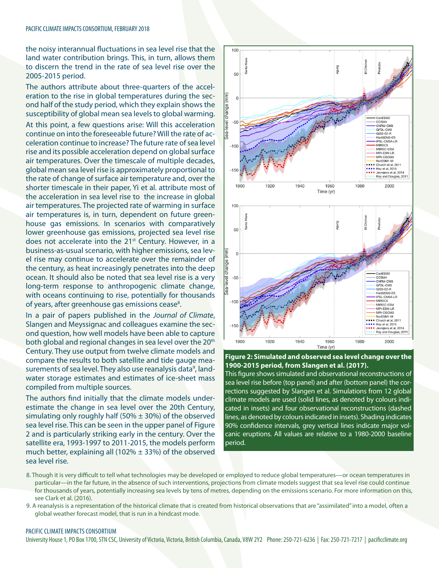the noisy interannual fluctuations in sea level rise that the land water contribution brings. This, in turn, allows them to discern the trend in the rate of sea level rise over the 2005-2015 period.

The authors attribute about three-quarters of the acceleration to the rise in global temperatures during the second half of the study period, which they explain shows the susceptibility of global mean sea levels to global warming.

At this point, a few questions arise: Will this acceleration continue on into the foreseeable future? Will the rate of acceleration continue to increase? The future rate of sea level rise and its possible acceleration depend on global surface air temperatures. Over the timescale of multiple decades, global mean sea level rise is approximately proportional to the rate of change of surface air temperature and, over the shorter timescale in their paper, Yi et al. attribute most of the acceleration in sea level rise to the increase in global air temperatures. The projected rate of warming in surface air temperatures is, in turn, dependent on future greenhouse gas emissions. In scenarios with comparatively lower greenhouse gas emissions, projected sea level rise does not accelerate into the 21<sup>st</sup> Century. However, in a business-as-usual scenario, with higher emissions, sea level rise may continue to accelerate over the remainder of the century, as heat increasingly penetrates into the deep ocean. It should also be noted that sea level rise is a very long-term response to anthropogenic climate change, with oceans continuing to rise, potentially for thousands of years, after greenhouse gas emissions cease<sup>8</sup>.

In a pair of papers published in the *Journal of Climate*, Slangen and Meyssignac and colleagues examine the second question, how well models have been able to capture both global and regional changes in sea level over the 20<sup>th</sup> Century. They use output from twelve climate models and compare the results to both satellite and tide gauge measurements of sea level. They also use reanalysis data<sup>9</sup>, landwater storage estimates and estimates of ice-sheet mass compiled from multiple sources.

The authors find initially that the climate models underestimate the change in sea level over the 20th Century, simulating only roughly half (50%  $\pm$  30%) of the observed sea level rise. This can be seen in the upper panel of Figure 2 and is particularly striking early in the century. Over the satellite era, 1993-1997 to 2011-2015, the models perform much better, explaining all (102%  $\pm$  33%) of the observed sea level rise.





This figure shows simulated and observational reconstructions of sea level rise before (top panel) and after (bottom panel) the corrections suggested by Slangen et al. Simulations from 12 global climate models are used (solid lines, as denoted by colours indicated in insets) and four observational reconstructions (dashed lines, as denoted by colours indicated in insets). Shading indicates 90% confidence intervals, grey vertical lines indicate major volcanic eruptions. All values are relative to a 1980-2000 baseline period.

- 8. Though it is very difficult to tell what technologies may be developed or employed to reduce global temperatures—or ocean temperatures in particular—in the far future, in the absence of such interventions, projections from climate models suggest that sea level rise could continue for thousands of years, potentially increasing sea levels by tens of metres, depending on the emissions scenario. For more information on this, see Clark et al. (2016).
- 9. A reanalysis is a representation of the historical climate that is created from historical observations that are "assimilated" into a model, often a global weather forecast model, that is run in a hindcast mode.

## PACIFIC CLIMATE IMPACTS CONSORTIUM

University House 1, PO Box 1700, STN CSC, University of Victoria, Victoria, British Columbia, Canada, V8W 2Y2 Phone: 250-721-6236 | Fax: 250-721-7217 | pacificclimate.org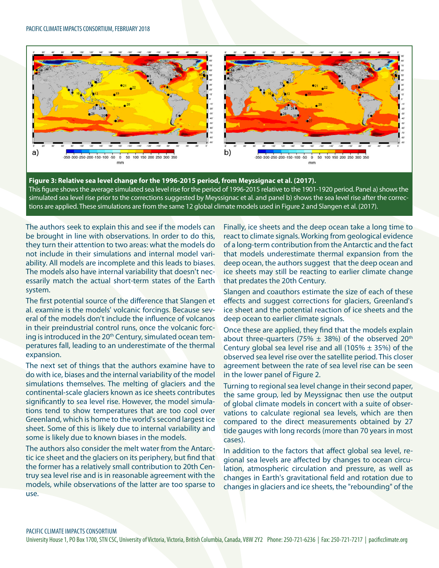

**Figure 3: Relative sea level change for the 1996-2015 period, from Meyssignac et al. (2017).**  This figure shows the average simulated sea level rise for the period of 1996-2015 relative to the 1901-1920 period. Panel a) shows the simulated sea level rise prior to the corrections suggested by Meyssignac et al. and panel b) shows the sea level rise after the corrections are applied. These simulations are from the same 12 global climate models used in Figure 2 and Slangen et al. (2017).

The authors seek to explain this and see if the models can be brought in line with observations. In order to do this, they turn their attention to two areas: what the models do not include in their simulations and internal model variability. All models are incomplete and this leads to biases. The models also have internal variability that doesn't necessarily match the actual short-term states of the Earth system.

The first potential source of the difference that Slangen et al. examine is the models' volcanic forcings. Because several of the models don't include the influence of volcanos in their preindustrial control runs, once the volcanic forcing is introduced in the 20<sup>th</sup> Century, simulated ocean temperatures fall, leading to an underestimate of the thermal expansion.

The next set of things that the authors examine have to do with ice, biases and the internal variability of the model simulations themselves. The melting of glaciers and the continental-scale glaciers known as ice sheets contributes significantly to sea level rise. However, the model simulations tend to show temperatures that are too cool over Greenland, which is home to the world's second largest ice sheet. Some of this is likely due to internal variability and some is likely due to known biases in the models.

The authors also consider the melt water from the Antarctic ice sheet and the glaciers on its periphery, but find that the former has a relatively small contribution to 20th Centruy sea level rise and is in reasonable agreement with the models, while observations of the latter are too sparse to use.

Finally, ice sheets and the deep ocean take a long time to react to climate signals. Working from geological evidence of a long-term contribution from the Antarctic and the fact that models underestimate thermal expansion from the deep ocean, the authors suggest that the deep ocean and ice sheets may still be reacting to earlier climate change that predates the 20th Century.

Slangen and coauthors estimate the size of each of these effects and suggest corrections for glaciers, Greenland's ice sheet and the potential reaction of ice sheets and the deep ocean to earlier climate signals.

Once these are applied, they find that the models explain about three-quarters (75%  $\pm$  38%) of the observed 20<sup>th</sup> Century global sea level rise and all (105%  $\pm$  35%) of the observed sea level rise over the satellite period. This closer agreement between the rate of sea level rise can be seen in the lower panel of Figure 2.

Turning to regional sea level change in their second paper, the same group, led by Meyssignac then use the output of global climate models in concert with a suite of observations to calculate regional sea levels, which are then compared to the direct measurements obtained by 27 tide gauges with long records (more than 70 years in most cases).

In addition to the factors that affect global sea level, regional sea levels are affected by changes to ocean circulation, atmospheric circulation and pressure, as well as changes in Earth's gravitational field and rotation due to changes in glaciers and ice sheets, the "rebounding" of the